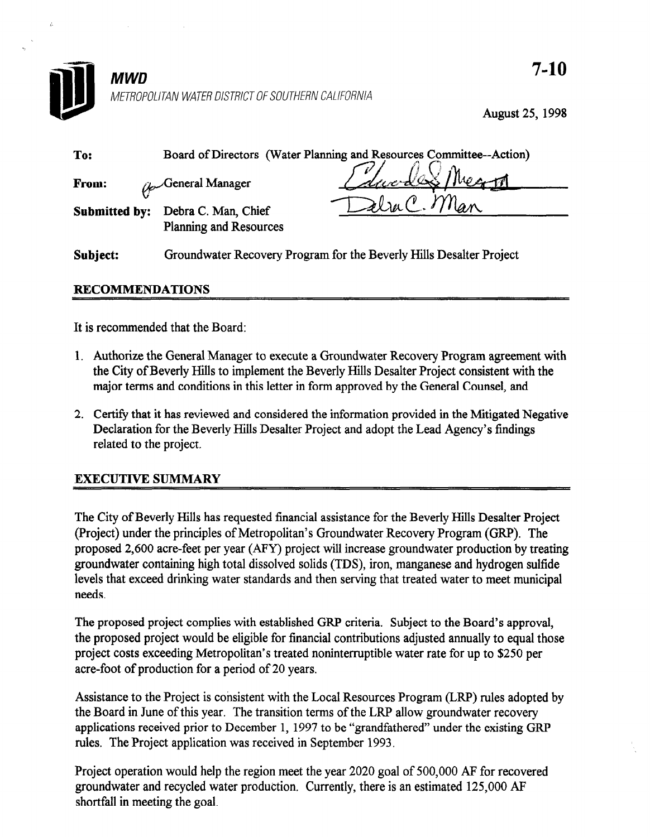

August 25, 1998

| To:      | Board of Directors (Water Planning and Resources Committee--Action)               |
|----------|-----------------------------------------------------------------------------------|
| From:    | Edward Meg<br>General Manager                                                     |
|          | Flag C. Man<br>Submitted by: Debra C. Man, Chief<br><b>Planning and Resources</b> |
| Subiect: | Groundwater Recovery Program for the Beverly Hills Desalter Project               |

## RECOMMENDATIONS

It is recommended that the Board:

- 1. Authorize the General Manager to execute a Groundwater Recovery Program agreement with the City of Beverly Hills to implement the Beverly Hills Desalter Project consistent with the major terms and conditions in this letter in form approved by the General Counsel, and
- 2. Certify that it has reviewed and considered the information provided in the Mitigated Negative Definity that it has reviewed and considered the information provided in the lyingated ive Declaration for the Beverly Hills Desalter Project and adopt the Lead Agency's findings related to the project.

## EXECUTIVE SUMMARY

The City of Beverly Hills has requested financial assistance for the Beverly Hills Desalter Project The City of Beverly Hills has requested mancial assistance for the Beverly Hills Desalter Projection. (Project) under the principles of Metropolitan's Groundwater Recovery Program (GRP). The proposed 2,600 acre-feet per year  $(AFY)$  project will increase groundwater production by treating groundwater containing high total dissolved solids (TDS), iron, manganese and hydrogen sulfide levels that exceed drinking water standards and then serving that treated water to meet municipal needs.

The proposed project complies with established GRP criteria. Subject to the Board's approval, the proposed project would be eligible for financial contributions adjusted annually to equal those project costs exceeding Metropolitan's treated noninterruptible water rate for up to \$250 per acre-foot of production for a period of 20 years.

Assistance to the Project is consistent with the Local Resources Program (LRP) rules adopted by the Board in June of this year. The transition terms of the LRP allow groundwater recovery applications received prior to December 1, 1997 to be "grandfathered" under the existing GRP rules. The Project application was received in September 1993.

Project operation would help the region meet the year 2020 goal of 500,000 AF for recovered groundwater and recycled water production. Currently, there is an estimated 125,000 AF shortfall in meeting the goal.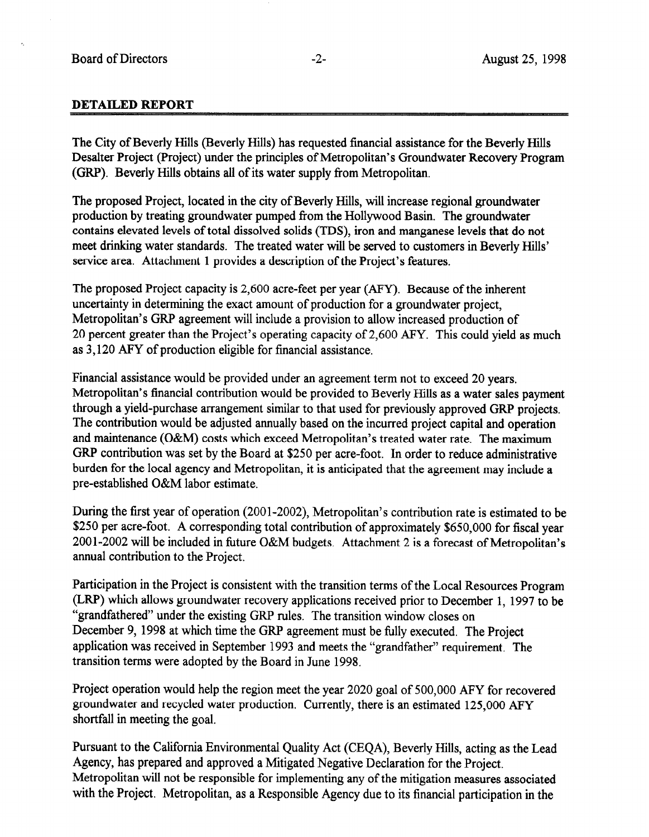#### DETAILED REPORT

The City of Beverly Hills (Beverly Hills) has requested financial assistance for the Beverly Hills Desalter Project (Project) under the principles of Metropolitan's Groundwater Recovery Program (GRP). Beverly Hills obtains all of its water supply from Metropolitan.

The proposed Project, located in the city of Beverly Hills, will increase regional groundwater production by treating groundwater pumped from the Hollywood Basin. The groundwater contains elevated levels of total dissolved solids (IDS), iron and manganese levels that do not meet drinking water standards. The treated water will be served to customers in Beverly Hills' service area. Attachment 1 provides a description of the Project's features.

The proposed Project capacity is 2,600 acre-feet per year (AFY). Because of the inherent uncertainty in determining the exact amount of production for a groundwater project, Metropolitan's GRP agreement will include a provision to allow increased production of 20 percent greater than the Project's operating capacity of 2,600 AFY. This could yield as much as 3,120 AFY of production eligible for financial assistance.

Financial assistance would be provided under an agreement term not to exceed 20 years. Metropolitan's financial contribution would be provided to Beverly Hills as a water sales payment through a yield-purchase arrangement similar to that used for previously approved GRP projects. The contribution would be adjusted annually based on the incurred project capital and operation and maintenance (O&M) costs which exceed Metropolitan's treated water rate. The maximum GRP contribution was set by the Board at \$250 per acre-foot. In order to reduce administrative burden for the local agency and Metropolitan, it is anticipated that the agreement may include a pre-established O&M labor estimate.

During the first year of operation (2001-2002), Metropolitan's contribution rate is estimated to be \$250 per acre-foot. A corresponding total contribution of approximately \$650,000 for fiscal year 2001-2002 will be included in future O&M budgets. Attachment 2 is a forecast of Metropolitan's annual contribution to the Project.

Participation in the Project is consistent with the transition terms of the Local Resources Program (LRP) which allows groundwater recovery applications received prior to December 1, 1997 to be "grandfathered" under the existing GRP rules. The transition window closes on December 9, 1998 at which time the GRP agreement must be fully executed. The Project application was received in September 1993 and meets the "grandfather" requirement. The transition terms were adopted by the Board in June 1998.

Project operation would help the region meet the year 2020 goal of 500,000 AFY for recovered groundwater and recycled water production. Currently, there is an estimated 125,000 AFY shortfall in meeting the goal.

Pursuant to the California Environmental Quality Act (CEQA), Beverly Hills, acting as the Lead Agency, has prepared and approved a Mitigated Negative Declaration for the Project. Metropolitan will not be responsible for implementing any of the mitigation measures associated with the Project. Metropolitan, as a Responsible Agency due to its financial participation in the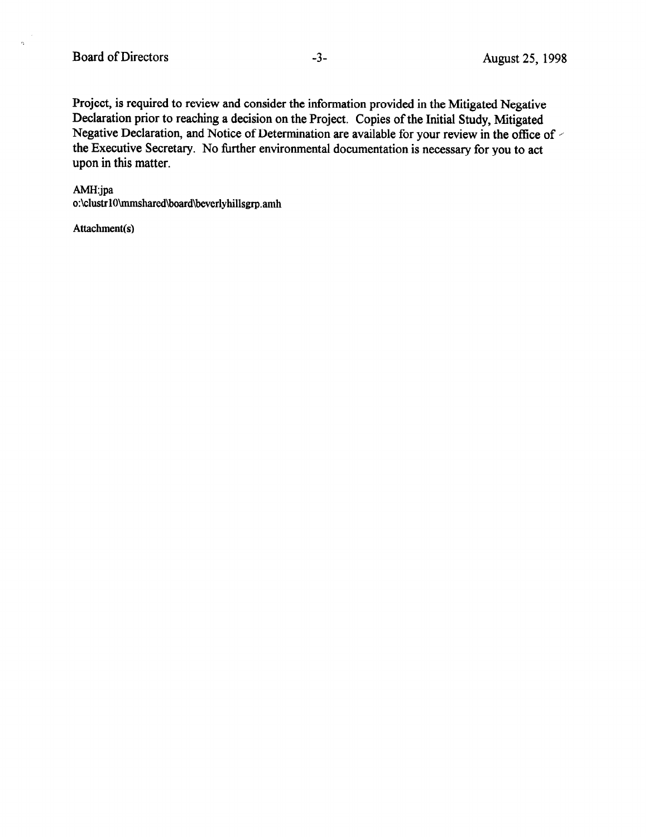Project, is required to review and consider the information provided in the Mitigated Negative Declaration prior to reaching a decision on the Project. Copies of the Initial Study, Mitigated Negative Declaration, and Notice of Determination are available for your review in the office of  $\sim$ the Executive Secretary. No further environmental documentation is necessary for you to act upon in this matter.

#### AMH:jpa

 $\bar{\gamma}$  $\tilde{\mathcal{L}}$ 

o:\clustr1O\mmshared\board\beverlyhillsgrp.amh

Attachment(s)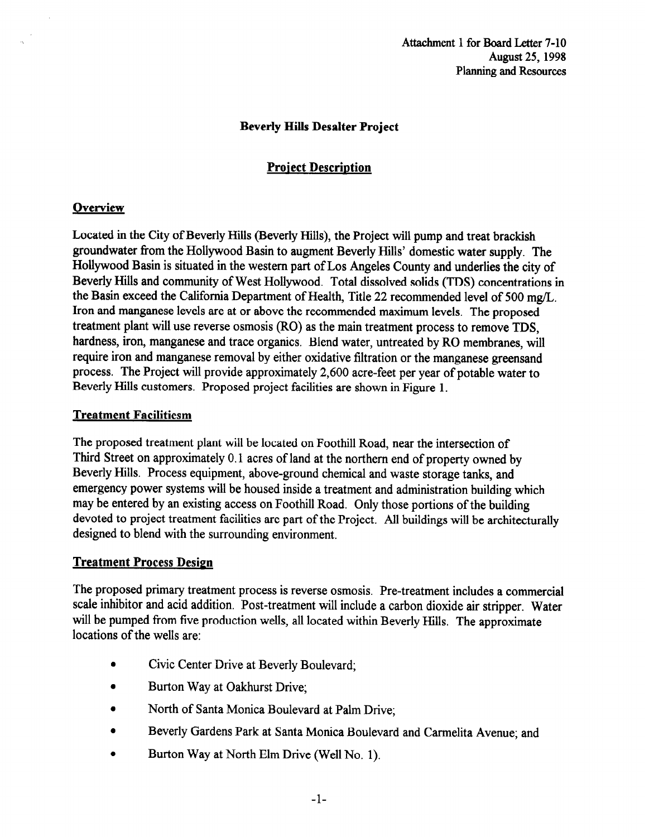## Beverly Hills Desalter Project

# **Project Description**

## **Overview**

Located in the City of Beverly Hills (Beverly Hills), the Project will pump and treat brackish groundwater from the Hollywood Basin to augment Beverly Hills' domestic water supply. The Hollywood Basin is situated in the western part of Los Angeles County and underlies the city of Beverly Hills and community of West Hollywood. Total dissolved solids (IDS) concentrations in the Basin exceed the California Department of Health, Title 22 recommended level of 500 mg/L. Iron and manganese levels are at or above the recommended maximum levels. The proposed treatment plant will use reverse osmosis (RO) as the main treatment process to remove TDS, hardness, iron, manganese and trace organics. Blend water, untreated by RO membranes, will require iron and manganese removal by either oxidative filtration or the manganese greensand process. The Project will provide approximately 2,600 acre-feet per year of potable water to Beverly Hills customers. Proposed project facilities are shown in Figure 1.

#### Treatment Facilitiesm

The proposed treatment plant will be located on Foothill Road, near the intersection of Third Street on approximately 0.1 acres of land at the northern end of property owned by Beverly Hills. Process equipment, above-ground chemical and waste storage tanks, and emergency power systems will be housed inside a treatment and administration building which may be entered by an existing access on Foothill Road. Only those portions of the building devoted to project treatment facilities are part of the Project. All buildings will be architecturally designed to blend with the surrounding environment.

## Treatment Process Design

The proposed primary treatment process is reverse osmosis. Pre-treatment includes a commercial scale inhibitor and acid addition. Post-treatment will include a carbon dioxide air stripper. Water will be pumped from five production wells, all located within Beverly Hills. The approximate locations of the wells are:

- Civic Center Drive at Beverly Boulevard;
- Burton Way at Oakhurst Drive:
- North of Santa Monica Boulevard at Palm Drive;
- **Beverly Gardens Park at Santa Monica Boulevard and Carmelita Avenue; and**
- Burton Way at North Elm Drive (Well No. 1).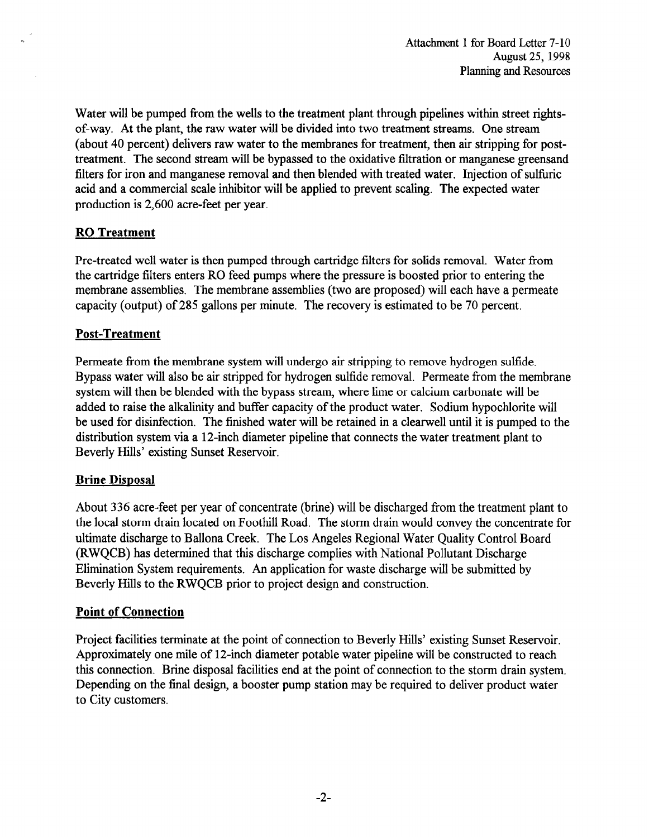Water will be pumped from the wells to the treatment plant through pipelines within street rightsof-way. At the plant, the raw water will be divided into two treatment streams. One stream (about 40 percent) delivers raw water to the membranes for treatment, then air stripping for posttreatment. The second stream will be bypassed to the oxidative filtration or manganese greensand filters for iron and manganese removal and then blended with treated water. Injection of sulfuric acid and a commercial scale inhibitor will be applied to prevent scaling. The expected water production is 2,600 acre-feet per year.

## RO Treatment

Pre-treated well water is then pumped through cartridge filters for solids removal. Water from the cartridge filters enters RO feed pumps where the pressure is boosted prior to entering the membrane assemblies. The membrane assemblies (two are proposed) will each have a permeate capacity (output) of 285 gallons per minute. The recovery is estimated to be 70 percent.

## Post-Treatment

Permeate from the membrane system will undergo air stripping to remove hydrogen sulfide. Bypass water will also be air stripped for hydrogen sulfide removal. Permeate from the membrane system will then be blended with the bypass stream, where lime or calcium carbonate will be added to raise the alkalinity and buffer capacity of the product water. Sodium hypochlorite will be used for disinfection. The finished water will be retained in a clearwell until it is pumped to the distribution system via a 12-inch diameter pipeline that connects the water treatment plant to Beverly Hills' existing Sunset Reservoir.

## **Brine Disposal**

About 336 acre-feet per year of concentrate (brine) will be discharged from the treatment plant to the local storm drain located on Foothill Road. The storm drain would convey the concentrate for ultimate discharge to Ballona Creek. The Los Angeles Regional Water Quality Control Board (RWQCB) has determined that this discharge complies with National Pollutant Discharge Elimination System requirements. An application for waste discharge will be submitted by Beverly Hills to the RWQCB prior to project design and construction.

#### Point of Connection

Project facilities terminate at the point of connection to Beverly Hills' existing Sunset Reservoir. Approximately one mile of 12-inch diameter potable water pipeline will be constructed to reach this connection. Brine disposal facilities end at the point of connection to the storm drain system. Depending on the final design, a booster pump station may be required to deliver product water to City customers.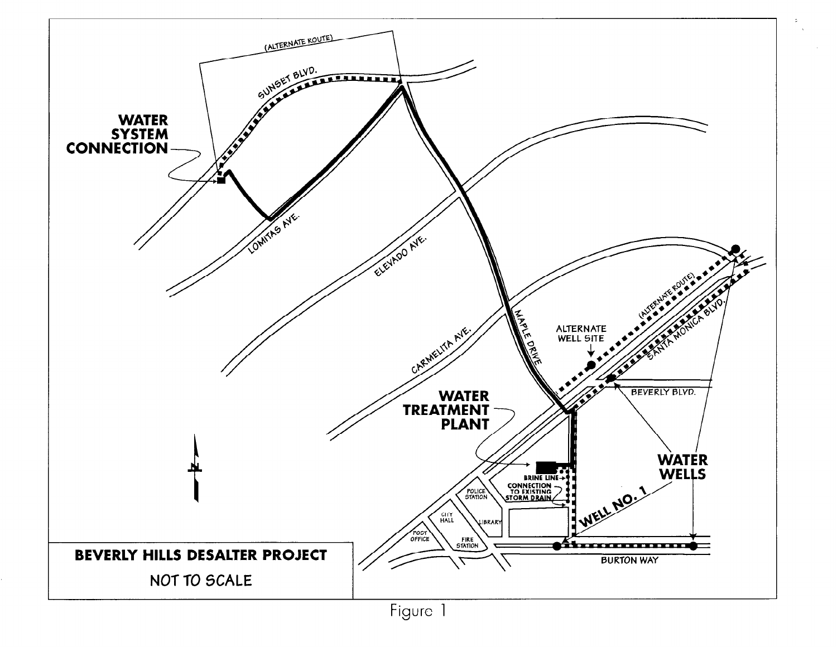